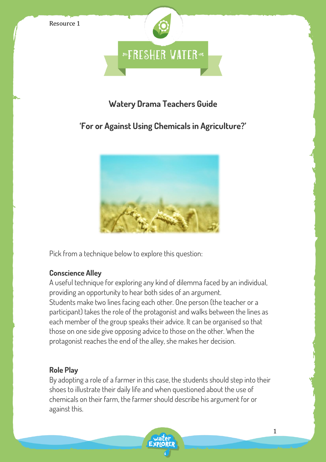

## **Watery Drama Teachers Guide**

# **'For or Against Using Chemicals in Agriculture?'**



Pick from a technique below to explore this question:

## **Conscience Alley**

A useful technique for exploring any kind of dilemma faced by an individual, providing an opportunity to hear both sides of an argument. Students make two lines facing each other. One person (the teacher or a participant) takes the role of the protagonist and walks between the lines as each member of the group speaks their advice. It can be organised so that those on one side give opposing advice to those on the other. When the protagonist reaches the end of the alley, she makes her decision.

## **Role Play**

By adopting a role of a farmer in this case, the students should step into their shoes to illustrate their daily life and when questioned about the use of chemicals on their farm, the farmer should describe his argument for or against this.